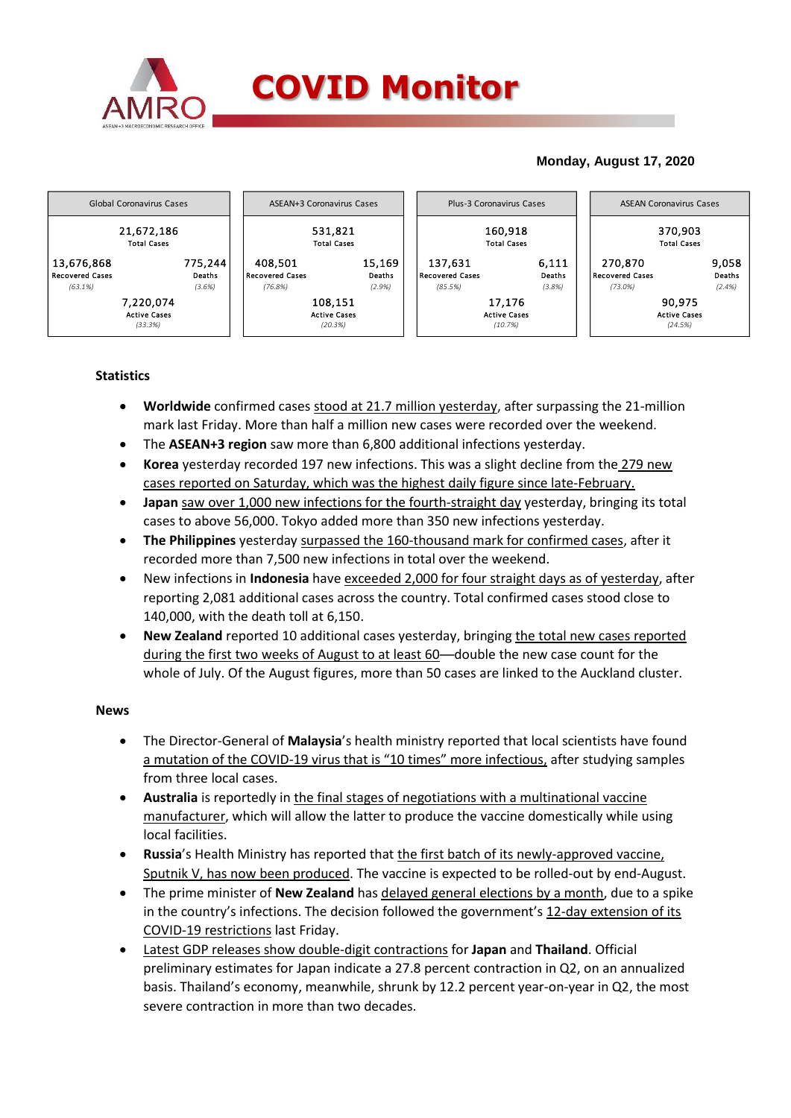

## **Monday, August 17, 2020**



# **Statistics**

- **Worldwide** confirmed cases stood at 21.7 million yesterday, after surpassing the 21-million mark last Friday. More than half a million new cases were recorded over the weekend.
- The **ASEAN+3 region** saw more than 6,800 additional infections yesterday.
- **Korea** yesterday recorded 197 new infections. This was a slight decline from the 279 new cases reported on Saturday, which was the highest daily figure since late-February.
- **Japan** saw over 1,000 new infections for the fourth-straight day yesterday, bringing its total cases to above 56,000. Tokyo added more than 350 new infections yesterday.
- **The Philippines** yesterday surpassed the 160-thousand mark for confirmed cases, after it recorded more than 7,500 new infections in total over the weekend.
- New infections in **Indonesia** have exceeded 2,000 for four straight days as of yesterday, after reporting 2,081 additional cases across the country. Total confirmed cases stood close to 140,000, with the death toll at 6,150.
- **New Zealand** reported 10 additional cases yesterday, bringing the total new cases reported during the first two weeks of August to at least 60—double the new case count for the whole of July. Of the August figures, more than 50 cases are linked to the Auckland cluster.

### **News**

- The Director-General of **Malaysia**'s health ministry reported that local scientists have found a mutation of the COVID-19 virus that is "10 times" more infectious, after studying samples from three local cases.
- **Australia** is reportedly in the final stages of negotiations with a multinational vaccine manufacturer, which will allow the latter to produce the vaccine domestically while using local facilities.
- **Russia**'s Health Ministry has reported that the first batch of its newly-approved vaccine, Sputnik V, has now been produced. The vaccine is expected to be rolled-out by end-August.
- The prime minister of **New Zealand** has delayed general elections by a month, due to a spike in the country's infections. The decision followed the government's 12-day extension of its COVID-19 restrictions last Friday.
- Latest GDP releases show double-digit contractions for **Japan** and **Thailand**. Official preliminary estimates for Japan indicate a 27.8 percent contraction in Q2, on an annualized basis. Thailand's economy, meanwhile, shrunk by 12.2 percent year-on-year in Q2, the most severe contraction in more than two decades.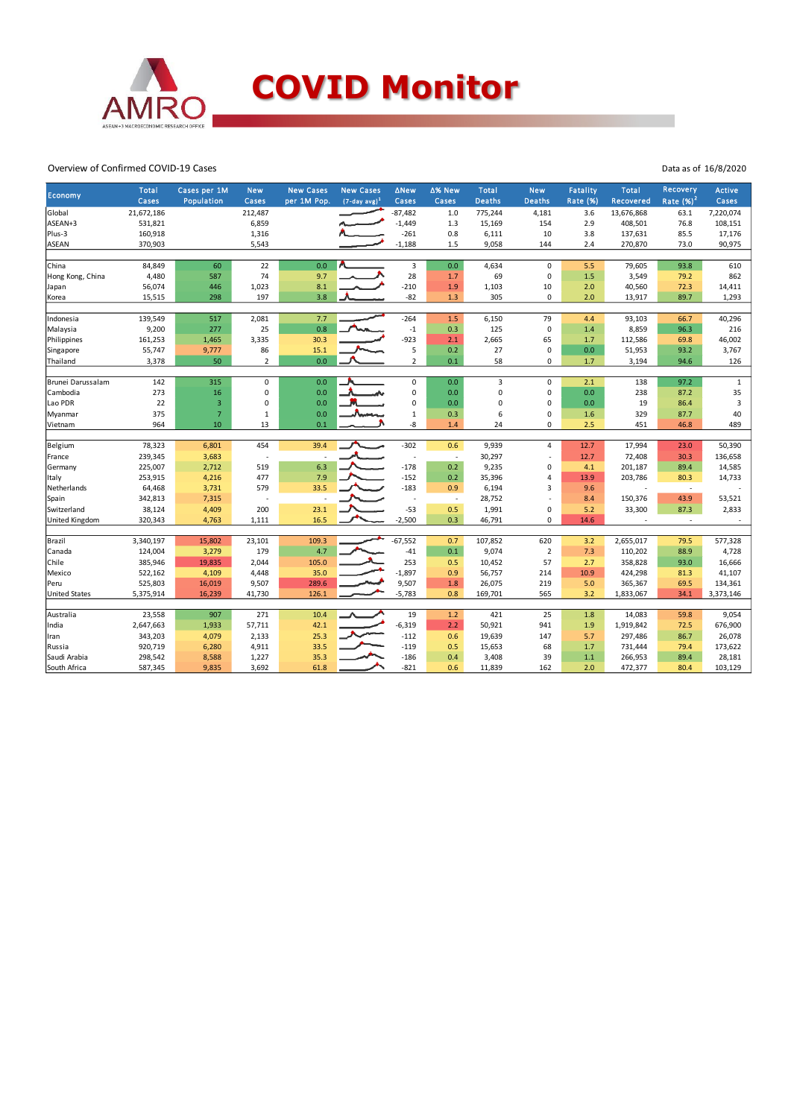

#### Overview of Confirmed COVID-19 Cases

| Economy              | <b>Total</b> | Cases per 1M   | <b>New</b>     | <b>New Cases</b> | <b>New Cases</b> | <b>ANew</b>    | ∆% New | Total         | <b>New</b>     | <b>Fatality</b> | <b>Total</b>             | Recovery                 | <b>Active</b> |
|----------------------|--------------|----------------|----------------|------------------|------------------|----------------|--------|---------------|----------------|-----------------|--------------------------|--------------------------|---------------|
|                      | Cases        | Population     | Cases          | per 1M Pop.      | $(7-day avg)^1$  | Cases          | Cases  | <b>Deaths</b> | <b>Deaths</b>  | <b>Rate (%)</b> | Recovered                | Rate $(%)2$              | Cases         |
| Global               | 21,672,186   |                | 212,487        |                  |                  | $-87,482$      | 1.0    | 775,244       | 4,181          | 3.6             | 13,676,868               | 63.1                     | 7,220,074     |
| ASEAN+3              | 531,821      |                | 6,859          |                  |                  | $-1,449$       | 1.3    | 15,169        | 154            | 2.9             | 408,501                  | 76.8                     | 108,151       |
| Plus-3               | 160,918      |                | 1,316          |                  |                  | $-261$         | 0.8    | 6,111         | 10             | 3.8             | 137,631                  | 85.5                     | 17,176        |
| <b>ASEAN</b>         | 370,903      |                | 5,543          |                  |                  | $-1,188$       | 1.5    | 9,058         | 144            | 2.4             | 270,870                  | 73.0                     | 90,975        |
|                      |              |                |                |                  |                  |                |        |               |                |                 |                          |                          |               |
| China                | 84,849       | 60             | 22             | 0.0              |                  | $\overline{3}$ | 0.0    | 4,634         | $\mathbf 0$    | 5.5             | 79,605                   | 93.8                     | 610           |
| Hong Kong, China     | 4,480        | 587            | 74             | 9.7              |                  | 28             | 1.7    | 69            | 0              | 1.5             | 3,549                    | 79.2                     | 862           |
| Japan                | 56,074       | 446            | 1,023          | 8.1              |                  | $-210$         | 1.9    | 1,103         | 10             | 2.0             | 40,560                   | 72.3                     | 14,411        |
| Korea                | 15,515       | 298            | 197            | 3.8              |                  | $-82$          | 1.3    | 305           | 0              | 2.0             | 13,917                   | 89.7                     | 1,293         |
|                      |              |                |                |                  |                  |                |        |               |                |                 |                          |                          |               |
| Indonesia            | 139,549      | 517            | 2,081          | 7.7              |                  | $-264$         | 1.5    | 6,150         | 79             | 4.4             | 93,103                   | 66.7                     | 40,296        |
| Malaysia             | 9,200        | 277            | 25             | 0.8              |                  | $-1$           | 0.3    | 125           | 0              | 1.4             | 8,859                    | 96.3                     | 216           |
| Philippines          | 161,253      | 1,465          | 3,335          | 30.3             |                  | $-923$         | 2.1    | 2,665         | 65             | 1.7             | 112,586                  | 69.8                     | 46,002        |
| Singapore            | 55,747       | 9,777          | 86             | 15.1             |                  | 5              | 0.2    | 27            | 0              | 0.0             | 51,953                   | 93.2                     | 3,767         |
| Thailand             | 3,378        | 50             | $\overline{2}$ | 0.0              |                  | $\overline{2}$ | 0.1    | 58            | 0              | 1.7             | 3,194                    | 94.6                     | 126           |
|                      |              |                |                |                  |                  |                |        |               |                |                 |                          |                          |               |
| Brunei Darussalam    | 142          | 315            | $\mathbf 0$    | 0.0              |                  | 0              | 0.0    | 3             | 0              | 2.1             | 138                      | 97.2                     | $\mathbf{1}$  |
| Cambodia             | 273          | 16             | 0              | 0.0              |                  | 0              | 0.0    | 0             | 0              | 0.0             | 238                      | 87.2                     | 35            |
| Lao PDR              | 22           | $\overline{3}$ | $\mathbf 0$    | 0.0              |                  | 0              | 0.0    | 0             | 0              | 0.0             | 19                       | 86.4                     | 3             |
| Myanmar              | 375          | $\overline{7}$ | $\mathbf 1$    | 0.0              |                  | $\mathbf{1}$   | 0.3    | 6             | 0              | 1.6             | 329                      | 87.7                     | 40            |
| Vietnam              | 964          | 10             | 13             | 0.1              |                  | -8             | 1.4    | 24            | 0              | 2.5             | 451                      | 46.8                     | 489           |
|                      |              |                |                |                  |                  |                |        |               |                |                 |                          |                          |               |
| Belgium              | 78,323       | 6,801          | 454            | 39.4             |                  | $-302$         | 0.6    | 9,939         | $\overline{4}$ | 12.7            | 17,994                   | 23.0                     | 50,390        |
| France               | 239,345      | 3,683          | J.             |                  |                  | $\sim$         | $\sim$ | 30,297        |                | 12.7            | 72,408                   | 30.3                     | 136,658       |
| Germany              | 225,007      | 2,712          | 519            | 6.3              |                  | $-178$         | 0.2    | 9,235         | 0              | 4.1             | 201,187                  | 89.4                     | 14,585        |
| Italy                | 253,915      | 4,216          | 477            | 7.9              |                  | $-152$         | 0.2    | 35,396        | 4              | 13.9            | 203,786                  | 80.3                     | 14,733        |
| Netherlands          | 64,468       | 3,731          | 579            | 33.5             |                  | $-183$         | 0.9    | 6,194         | 3              | 9.6             |                          | $\overline{\phantom{a}}$ |               |
| Spain                | 342,813      | 7,315          | J.             |                  |                  | $\sim$         | $\sim$ | 28,752        |                | 8.4             | 150,376                  | 43.9                     | 53,521        |
| Switzerland          | 38,124       | 4,409          | 200            | 23.1             |                  | $-53$          | 0.5    | 1,991         | 0              | 5.2             | 33,300                   | 87.3                     | 2,833         |
| United Kingdom       | 320,343      | 4,763          | 1,111          | 16.5             |                  | $-2,500$       | 0.3    | 46,791        | $\Omega$       | 14.6            | $\overline{\phantom{a}}$ | $\sim$                   |               |
|                      |              |                |                |                  |                  |                |        |               |                |                 |                          |                          |               |
| Brazil               | 3,340,197    | 15,802         | 23,101         | 109.3            |                  | $-67,552$      | 0.7    | 107,852       | 620            | 3.2             | 2,655,017                | 79.5                     | 577,328       |
| Canada               | 124,004      | 3,279          | 179            | 4.7              |                  | $-41$          | 0.1    | 9,074         | $\overline{2}$ | 7.3             | 110,202                  | 88.9                     | 4,728         |
| Chile                | 385,946      | 19,835         | 2,044          | 105.0            |                  | 253            | 0.5    | 10,452        | 57             | 2.7             | 358,828                  | 93.0                     | 16,666        |
| Mexico               | 522,162      | 4,109          | 4,448          | 35.0             |                  | $-1,897$       | 0.9    | 56,757        | 214            | 10.9            | 424,298                  | 81.3                     | 41,107        |
| Peru                 | 525,803      | 16,019         | 9,507          | 289.6            |                  | 9,507          | 1.8    | 26,075        | 219            | 5.0             | 365,367                  | 69.5                     | 134,361       |
| <b>United States</b> | 5,375,914    | 16,239         | 41,730         | 126.1            |                  | $-5,783$       | 0.8    | 169,701       | 565            | 3.2             | 1,833,067                | 34.1                     | 3,373,146     |
|                      |              |                |                |                  |                  |                |        |               |                |                 |                          |                          |               |
| Australia            | 23,558       | 907            | 271            | 10.4             |                  | 19             | 1.2    | 421           | 25             | 1.8             | 14,083                   | 59.8                     | 9,054         |
| India                | 2,647,663    | 1,933          | 57,711         | 42.1             |                  | $-6,319$       | 2.2    | 50,921        | 941            | 1.9             | 1,919,842                | 72.5                     | 676,900       |
| Iran                 | 343,203      | 4,079          | 2,133          | 25.3             |                  | $-112$         | 0.6    | 19,639        | 147            | 5.7             | 297,486                  | 86.7                     | 26,078        |
| Russia               | 920,719      | 6,280          | 4,911          | 33.5             |                  | $-119$         | 0.5    | 15,653        | 68             | 1.7             | 731,444                  | 79.4                     | 173,622       |
| Saudi Arabia         | 298,542      | 8,588          | 1,227          | 35.3             |                  | $-186$         | 0.4    | 3,408         | 39             | 1.1             | 266,953                  | 89.4                     | 28,181        |
| South Africa         | 587,345      | 9,835          | 3,692          | 61.8             |                  | $-821$         | 0.6    | 11,839        | 162            | 2.0             | 472,377                  | 80.4                     | 103,129       |

Data as of 16/8/2020